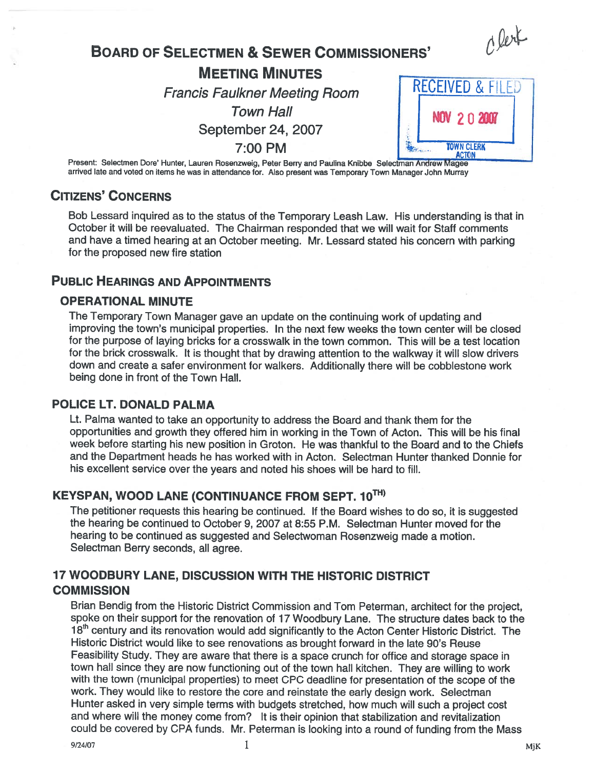Clerk

# BOARD OF SELECTMEN & SEWER COMMISSIONERS'

MEETING MINUTES Francis Faulkner Meeting Room RECEIVED & FILED

September 24, 2007



Present: Selectmen Dore' Hunter, Lauren Rosenzweig, Peter Berry and Paulina Knibbe Selectman Andrew Magee arrived late and voted on items he was in attendance tot. Also presen<sup>t</sup> was Temporary Town Manager John Murray

# CITIZENS' CONCERNS

Bob Lessard inquired as to the status of the Temporary Leash Law. His understanding is that in October it will be reevaluated. The Chairman responded that we will wait for Staff comments and have <sup>a</sup> timed hearing at an October meeting. Mr. Lessard stated his concern with parking for the proposed new fire station

# PUBLIC HEARINGS AND APPOINTMENTS

### OPERATIONAL MINUTE

The Temporary Town Manager gave an update on the continuing work of updating and improving the town's municipal properties. In the next few weeks the town center will be closed for the purpose of laying bricks for <sup>a</sup> crosswalk in the town common. This will be <sup>a</sup> test location for the brick crosswalk. It is thought that by drawing attention to the walkway it will slow drivers down and create <sup>a</sup> safer environment for walkers. Additionally there will be cobblestone work being done in front of the Town Hall.

# POLICE LT. DONALD PALMA

Lt. Palma wanted to take an opportunity to address the Board and thank them for the opportunities and growth they offered him in working in the Town of Acton. This will be his final week before starting his new position in Groton. He was thankful to the Board and to the Chiefs and the Department heads he has worked with in Acton. Selectman Hunter thanked Donnie for his excellent service over the years and noted his shoes will be hard to fill.

# KEYSPAN, WOOD LANE (CONTINUANCE FROM SEPT. 10TH)

The petitioner requests this hearing be continued. If the Board wishes to do so, it is suggested the hearing be continued to October 9, 2007 at 8:55 P.M. Selectman Hunter moved for the hearing to be continued as suggested and Selectwoman Rosenzweig made <sup>a</sup> motion. Selectman Berry seconds, all agree.

# 17 WOODBURY LANE, DISCUSSION WITH THE HISTORIC DISTRICT **COMMISSION**

Brian Bendig from the Historic District Commission and Tom Peterman, architect for the project, spoke on their support for the renovation of 17 Woodbury Lane. The structure dates back to the 18<sup>th</sup> century and its renovation would add significantly to the Acton Center Historic District. The Historic District would like to see renovations as brought forward in the late 90's Reuse Feasibility Study. They are aware that there is <sup>a</sup> space crunch for office and storage space in town hall since they are now functioning out of the town hall kitchen. They are willing to work with the town (municipal properties) to meet CPC deadline for presentation of the scope of the work. They would like to restore the core and reinstate the early design work. Selectman Hunter asked in very simple terms with budgets stretched, how much will such <sup>a</sup> project cost and where will the money come from? It is their opinion that stabilization and revitalization could be covered by CPA funds. Mr. Peterman is looking into <sup>a</sup> round of funding from the Mass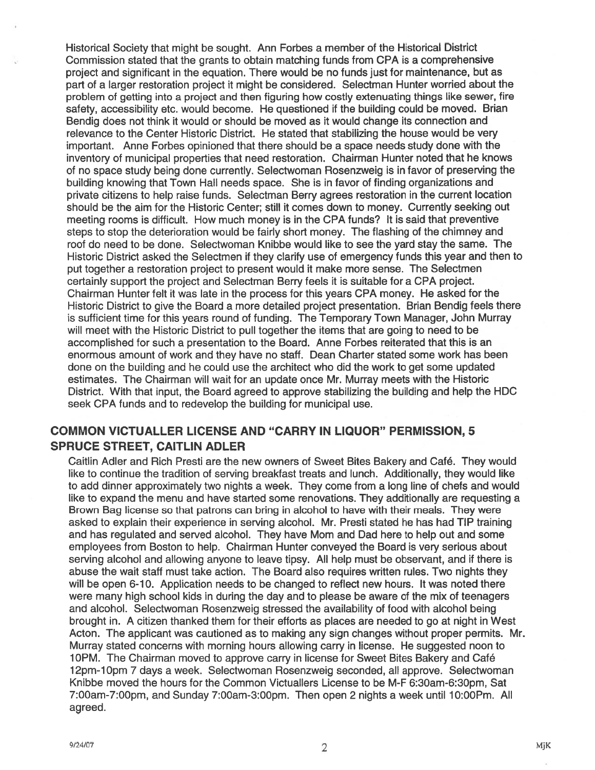Historical Society that might be sought. Ann Forbes <sup>a</sup> member of the Historical District Commission stated that the grants to obtain matching funds from CPA is <sup>a</sup> comprehensive project and significant in the equation. There would be no funds just for maintenance, but as par<sup>t</sup> of <sup>a</sup> larger restoration project it might be considered. Selectman Hunter worried about the problem of getting into <sup>a</sup> project and then figuring how costly extenuating things like sewer, fire safety, accessibility etc. would become. He questioned if the building could be moved. Brian Bendig does not think it would or should be moved as it would change its connection and relevance to the Center Historic District. He stated that stabilizing the house would be very important. Anne Forbes opinioned that there should be <sup>a</sup> space needs study done with the inventory of municipal properties that need restoration. Chairman Hunter noted that he knows of no space study being done currently. Selectwoman Rosenzweig is in favor of preserving the building knowing that Town Hall needs space. She is in favor of finding organizations and private citizens to help raise funds. Selectman Berry agrees restoration in the current location should be the aim for the Historic Center; still it comes down to money. Currently seeking out meeting rooms is difficult. How much money is in the CPA funds? It is said that preventive steps to stop the deterioration would be fairly short money. The flashing of the chimney and roof do need to be done. Selectwoman Knibbe would like to see the yard stay the same. The Historic District asked the Selectmen if they clarify use of emergency funds this year and then to pu<sup>t</sup> together <sup>a</sup> restoration project to presen<sup>t</sup> would it make more sense. The Selectmen certainly suppor<sup>t</sup> the project and Selectman Berry feels it is suitable for <sup>a</sup> CPA project. Chairman Hunter felt it was late in the process for this years CPA money. He asked for the Historic District to give the Board <sup>a</sup> more detailed project presentation. Brian Bendig feels there is sufficient time for this years round of funding. The Temporary Town Manager, John Murray will meet with the Historic District to pull together the items that are going to need to be accomplished for such <sup>a</sup> presentation to the Board. Anne Forbes reiterated that this is an enormous amount of work and they have no staff. Dean Charter stated some work has been done on the building and he could use the architect who did the work to ge<sup>t</sup> some updated estimates. The Chairman will wait for an update once Mr. Murray meets with the Historic District. With that input, the Board agreed to approve stabilizing the building and help the HDC seek CPA funds and to redevelop the building for municipal use.

# COMMON VICTUALLER LICENSE AND "CARRY IN LIQUOR" PERMISSION, 5 SPRUCE STREET, CAITLIN ADLER

Caitlin Adler and Rich Presti are the new owners of Sweet Bites Bakery and Café. They would like to continue the tradition of serving breakfast treats and lunch. Additionally, they would like to add dinner approximately two nights <sup>a</sup> week. They come from <sup>a</sup> long line of chefs and would like to expand the menu and have started some renovations. They additionally are requesting <sup>a</sup> Brown Bag license so that patrons can bring in alcohol to have with their meals. They were asked to explain their experience in serving alcohol. Mr. Presti stated he has had TIP training and has regulated and served alcohol. They have Mom and Dad here to help out and some employees from Boston to help. Chairman Hunter conveyed the Board is very serious about serving alcohol and allowing anyone to leave tipsy. All help must be observant, and if there is abuse the wait staff must take action. The Board also requires written rules. Two nights they will be open 6-10. Application needs to be changed to reflect new hours. It was noted there were many high school kids in during the day and to please be aware of the mix of teenagers and alcohol. Selectwoman Rosenzweig stressed the availability of food with alcohol being brought in. A citizen thanked them for their efforts as places are needed to go at night in West Acton. The applicant was cautioned as to making any sign changes without proper permits. Mr. Murray stated concerns with morning hours allowing carry in license. He suggested noon to 10PM. The Chairman moved to approve carry in license for Sweet Bites Bakery and Café l2pm-lOpm 7 days <sup>a</sup> week. Selectwoman Rosenzweig seconded, all approve. Selectwoman Knibbe moved the hours for the Common Victuallers License to be M-F 6:3Oam-6:3Opm, Sat 7:OOam-7:OOpm, and Sunday 7:OOam-3:OOpm. Then open 2 nights <sup>a</sup> week until 10:00Pm. All agreed.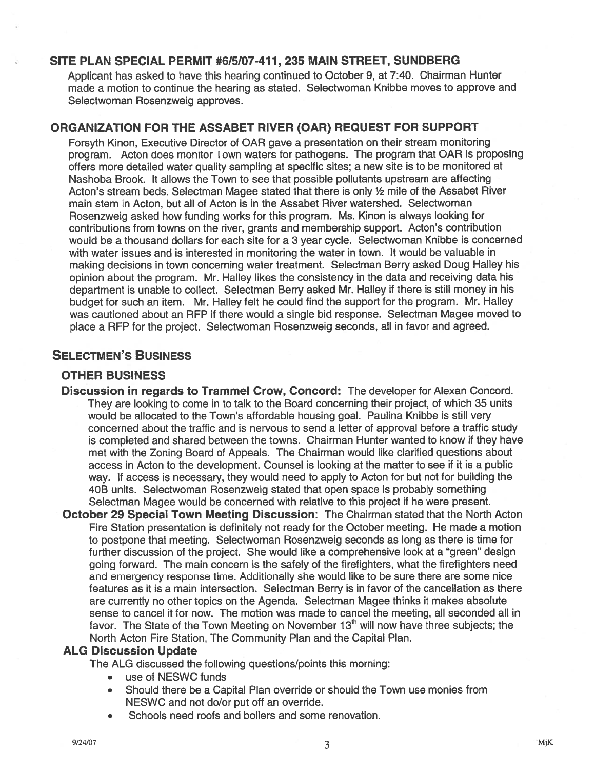# SITE PLAN SPECIAL PERMIT #6/5/07-411, 235 MAIN STREET, SUNDBERG

Applicant has asked to have this hearing continued to October 9, at 7:40. Chairman Hunter made <sup>a</sup> motion to continue the hearing as stated. Selectwoman Knibbe moves to approve and Selectwoman Rosenzweig approves.

### ORGANIZATION FOR THE ASSABET RIVER (OAR) REQUEST FOR SUPPORT

Forsyth Kinon, Executive Director of OAR gave <sup>a</sup> presentation on their stream monitoring program. Acton does monitor Town waters for pathogens. The program that OAR is proposing offers more detailed water quality sampling at specific sites; <sup>a</sup> new site is to be monitored at Nashoba Brook. It allows the Town to see that possible pollutants upstream are affecting Acton's stream beds. Selectman Magee stated that there is only ½ mile of the Assabet River main stem in Acton, but all of Acton is in the Assabet River watershed. Selectwoman Rosenzweig asked how funding works for this program. Ms. Kinon is always looking for contributions from towns on the river, grants and membership support. Acton's contribution would be <sup>a</sup> thousand dollars for each site for <sup>a</sup> 3 year cycle. Selectwoman Knibbe is concerned with water issues and is interested in monitoring the water in town, It would be valuable in making decisions in town concerning water treatment. Selectman Berry asked Doug Halley his opinion about the program. Mr. Halley likes the consistency in the data and receiving data his department is unable to collect. Selectman Berry asked Mr. Halley if there is still money in his budget for such an item. Mr. Halley felt he could find the suppor<sup>t</sup> for the program. Mr. Halley was cautioned about an REP it there would <sup>a</sup> single bid response. Selectman Magee moved to place <sup>a</sup> REP for the project. Selectwoman Rosenzweig seconds, all in favor and agreed.

# SELECTMEN'S BUSINESS

### OTHER BUSINESS

- Discussion in regards to Trammel Crow, Concord: The developer for Alexan Concord. They are looking to come in to talk to the Board concerning their project, of which 35 units would be allocated to the Town's affordable housing goal. Paulina Knibbe is still very concerned about the traffic and is nervous to send <sup>a</sup> letter of approval before <sup>a</sup> traffic study is completed and shared between the towns. Chairman Hunter wanted to know if they have met with the Zoning Board of Appeals. The Chairman would like clarified questions about access in Acton to the development. Counsel is looking at the matter to see if it is <sup>a</sup> public way. If access is necessary, they would need to apply to Acton for but not for building the 40B units. Selectwoman Rosenzweig stated that open space is probably something Selectman Magee would be concerned with relative to this project if he were present.
- October 29 Special Town Meeting Discussion: The Chairman stated that the North Acton Fire Station presentation is definitely not ready for the October meeting. He made <sup>a</sup> motion to postpone that meeting. Selectwoman Rosenzweig seconds as long as there is time for further discussion of the project. She would like <sup>a</sup> comprehensive look at <sup>a</sup> "green" design going forward. The main concern is the safely of the firefighters, what the firefighters need and emergency response time. Additionally she would like to be sure there are some nice features as it is <sup>a</sup> main intersection. Selectman Berry is in favor of the cancellation as there are currently no other topics on the Agenda. Selectman Magee thinks it makes absolute sense to cancel it for now. The motion was made to cancel the meeting, all seconded all in favor. The State of the Town Meeting on November  $13<sup>th</sup>$  will now have three subjects; the North Acton Fire Station, The Community Plan and the Capital Plan.

#### ALG Discussion Update

The ALG discussed the following questions/points this morning:

- •use of NESWC funds
- • Should there be <sup>a</sup> Capital Plan override or should the Town use monies from NESWC and not do/or pu<sup>t</sup> off an override.
- •Schools need roofs and boilers and some renovation.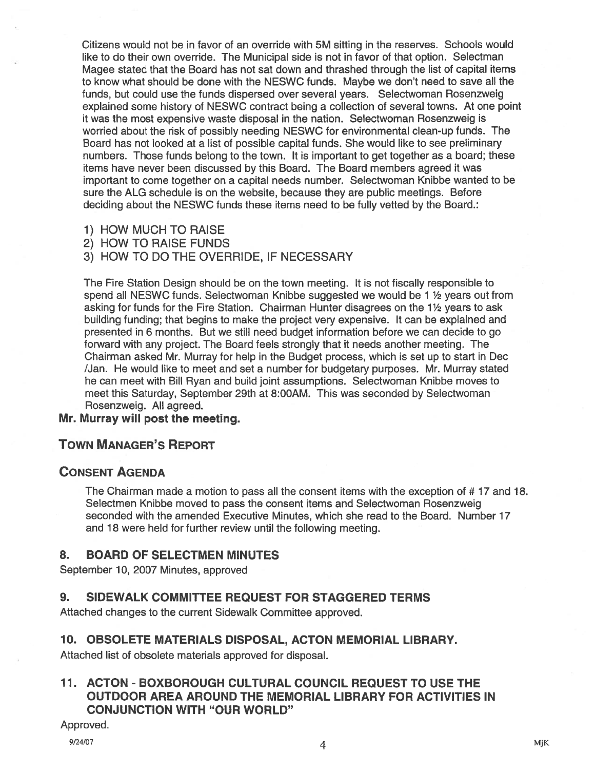Citizens would not be in favor of an override with 5M sitting in the reserves. Schools would like to do their own override. The Municipal side is not in favor of that option. Selectman Magee stated that the Board has not sat down and thrashed through the list of capital items to know what should be done with the NESWC funds. Maybe we don't need to save all the funds, but could use the funds dispersed over several years. Selectwoman Rosenzweig explained some history of NESWC contract being <sup>a</sup> collection of several towns. At one point it was the most expensive waste disposal in the nation. Selectwoman Rosenzweig is worried about the risk of possibly needing NESWC for environmental clean-up funds. The Board has not looked at <sup>a</sup> list of possible capital funds. She would like to see preliminary numbers. Those funds belong to the town. It is important to ge<sup>t</sup> together as <sup>a</sup> board; these items have never been discussed by this Board. The Board members agreed it was important to come together on <sup>a</sup> capital needs number. Selectwoman Knibbe wanted to be sure the ALG schedule is on the website, because they are public meetings. Before deciding about the NESWC funds these items need to be fully vetted by the Board.:

- 1) HOW MUCH TO RAISE
- 2) HOW TO RAISE FUNDS
- 3) HOW TO DO THE OVERRIDE, IF NECESSARY

The Fire Station Design should be on the town meeting. It is not fiscally responsible to spend all NESWC funds. Selectwoman Knibbe suggested we would be 1 ½ years out from asking for funds for the Fire Station. Chairman Hunter disagrees on the 1<sup>1</sup>/<sub>2</sub> years to ask building funding; that begins to make the project very expensive. It can be explained and presented in 6 months. But we still need budget information before we can decide to go forward with any project. The Board feels strongly that it needs another meeting. The Chairman asked Mr. Murray for help in the Budget process, which is set up to start in Dec /Jan. He would like to meet and set <sup>a</sup> number for budgetary purposes. Mr. Murray stated he can meet with Bill Ryan and build joint assumptions. Selectwoman Knibbe moves to meet this Saturday, September 29th at 8:00AM. This was seconded by Selectwoman Rosenzweig. All agreed.

### Mr. Murray will pos<sup>t</sup> the meeting.

# TOWN MANAGER'S REPORT

#### CONSENT AGENDA

The Chairman made <sup>a</sup> motion to pass all the consent items with the exception of # 17 and 18. Selectmen Knibbe moved to pass the consent items and Selectwoman Rosenzweig seconded with the amended Executive Minutes, which she read to the Board. Number 17 and 18 were held for further review until the following meeting.

# 8. BOARD OF SELECTMEN MINUTES

September 10, 2007 Minutes, approved

# 9. SIDEWALK COMMITTEE REQUEST FOR STAGGERED TERMS

Attached changes to the current Sidewalk Committee approved.

#### 10. OBSOLETE MATERIALS DISPOSAL, ACTON MEMORIAL LIBRARY.

Attached list of obsolete materials approved for disposal.

# 11. ACTON - BOXBOROUGH CULTURAL COUNCIL REQUEST TO USE THE OUTDOOR AREA AROUND THE MEMORIAL LIBRARY FOR ACTIVITIES IN CONJUNCTION WITH "OUR WORLD"

Approved.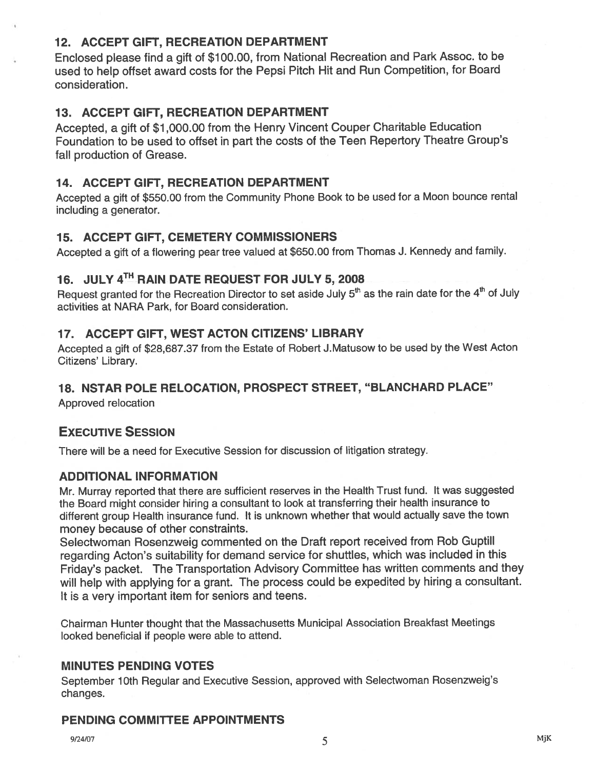# 12. ACCEPT GIFT, RECREATION DEPARTMENT

Enclosed <sup>p</sup>lease find <sup>a</sup> <sup>g</sup>ift of \$100.00, from National Recreation and Park Assoc. to be used to help offset award costs for the Pepsi Pitch Hit and Run Competition, for Board consideration.

# 13. ACCEPT GIFT, RECREATION DEPARTMENT

Accepted, <sup>a</sup> <sup>g</sup>ift of \$7,000.00 from the Henry Vincent Couper Charitable Education Foundation to be used to offset in par<sup>t</sup> the costs of the Teen Repertory Theatre Group's fall production of Grease.

# 14. ACCEPT GIFT, RECREATION DEPARTMENT

Accepted <sup>a</sup> <sup>g</sup>ift of \$550.00 from the Community Phone Book to be used for <sup>a</sup> Moon bounce rental including <sup>a</sup> generator.

# 15. ACCEPT GIFT, CEMETERY COMMISSIONERS

Accepted <sup>a</sup> <sup>g</sup>ift of <sup>a</sup> flowering pear tree valued at \$650.00 from Thomas J. Kennedy and family.

# 16. JULY 4<sup>TH</sup> RAIN DATE REQUEST FOR JULY 5, 2008

Request granted for the Recreation Director to set aside July  $5<sup>th</sup>$  as the rain date for the  $4<sup>th</sup>$  of July activities at NARA Park, for Board consideration.

# 17. ACCEPT GIFT, WEST ACTON CITIZENS' LIBRARY

Accepted <sup>a</sup> <sup>g</sup>ift of \$28,687.37 from the Estate of Robert J.Matusow to be used by the West Acton Citizens' Library.

# 18. NSTAR POLE RELOCATION, PROSPECT STREET, "BLANCHARD PLACE"

Approved relocation

# EXECUTIVE SESSION

There will be <sup>a</sup> need for Executive Session for discussion of litigation strategy.

# ADDITIONAL INFORMATION

Mr. Murray reported that there are sufficient reserves in the Health Trust fund. It was suggested the Board might consider hiring <sup>a</sup> consultant to look at transferring their health insurance to different group Health insurance fund. It is unknown whether that would actually save the town money because of other constraints.

Selectwoman Rosenzweig commented on the Draft repor<sup>t</sup> received from Rob Guptill regarding Acton's suitability for demand service for shuffles, which was included in this Friday's packet. The Transportation Advisory Committee has written comments and they will help with applying for a grant. The process could be expedited by hiring a consultant. It is <sup>a</sup> very important item for seniors and teens.

Chairman Hunter thought that the Massachusetts Municipal Association Breakfast Meetings looked beneficial if people were able to attend.

# MINUTES PENDING VOTES

September 10th Regular and Executive Session, approved with Selectwoman Rosenzweig's changes.

# PENDING COMMITTEE APPOINTMENTS